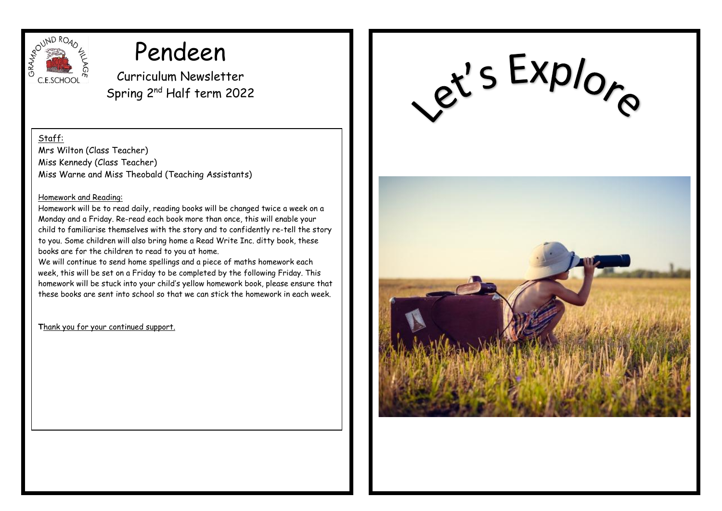

# Pendeen

Curriculum Newsletter Spring 2nd Half term 2022

Staff:

Mrs Wilton (Class Teacher) Miss Kennedy (Class Teacher) Miss Warne and Miss Theobald (Teaching Assistants)

#### Homework and Reading:

Homework will be to read daily, reading books will be changed twice a week on a Monday and a Friday. Re-read each book more than once, this will enable your child to familiarise themselves with the story and to confidently re-tell the story to you. Some children will also bring home a Read Write Inc. ditty book, these books are for the children to read to you at home.

We will continue to send home spellings and a piece of maths homework each week, this will be set on a Friday to be completed by the following Friday. This homework will be stuck into your child's yellow homework book, please ensure that these books are sent into school so that we can stick the homework in each week.

**T**hank you for your continued support.

et's Explore